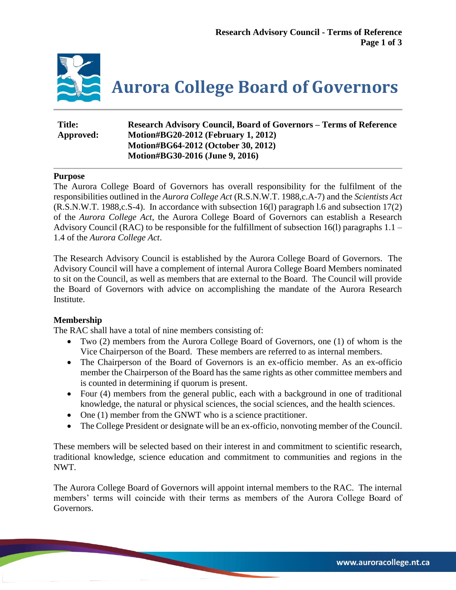

**Aurora College Board of Governors**

| Title:    | <b>Research Advisory Council, Board of Governors – Terms of Reference</b> |
|-----------|---------------------------------------------------------------------------|
| Approved: | Motion#BG20-2012 (February 1, 2012)                                       |
|           | Motion#BG64-2012 (October 30, 2012)                                       |
|           | Motion#BG30-2016 (June 9, 2016)                                           |

## **Purpose**

The Aurora College Board of Governors has overall responsibility for the fulfilment of the responsibilities outlined in the *Aurora College Act* (R.S.N.W.T. 1988,c.A-7) and the *Scientists Act* (R.S.N.W.T. 1988,c.S-4). In accordance with subsection 16(l) paragraph l.6 and subsection 17(2) of the *Aurora College Act*, the Aurora College Board of Governors can establish a Research Advisory Council (RAC) to be responsible for the fulfillment of subsection 16(l) paragraphs 1.1 – 1.4 of the *Aurora College Act*.

The Research Advisory Council is established by the Aurora College Board of Governors. The Advisory Council will have a complement of internal Aurora College Board Members nominated to sit on the Council, as well as members that are external to the Board. The Council will provide the Board of Governors with advice on accomplishing the mandate of the Aurora Research Institute.

# **Membership**

The RAC shall have a total of nine members consisting of:

- Two (2) members from the Aurora College Board of Governors, one (1) of whom is the Vice Chairperson of the Board. These members are referred to as internal members.
- The Chairperson of the Board of Governors is an ex-officio member. As an ex-officio member the Chairperson of the Board has the same rights as other committee members and is counted in determining if quorum is present.
- Four (4) members from the general public, each with a background in one of traditional knowledge, the natural or physical sciences, the social sciences, and the health sciences.
- One (1) member from the GNWT who is a science practitioner.
- The College President or designate will be an ex-officio, nonvoting member of the Council.

These members will be selected based on their interest in and commitment to scientific research, traditional knowledge, science education and commitment to communities and regions in the NWT.

The Aurora College Board of Governors will appoint internal members to the RAC. The internal members' terms will coincide with their terms as members of the Aurora College Board of Governors.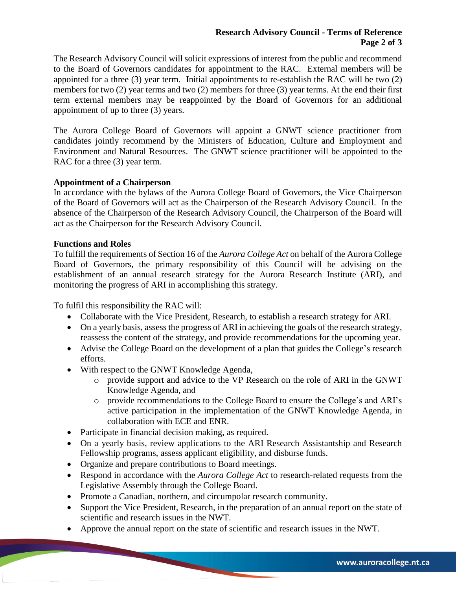The Research Advisory Council will solicit expressions of interest from the public and recommend to the Board of Governors candidates for appointment to the RAC. External members will be appointed for a three (3) year term. Initial appointments to re-establish the RAC will be two (2) members for two (2) year terms and two (2) members for three (3) year terms. At the end their first term external members may be reappointed by the Board of Governors for an additional appointment of up to three (3) years.

The Aurora College Board of Governors will appoint a GNWT science practitioner from candidates jointly recommend by the Ministers of Education, Culture and Employment and Environment and Natural Resources. The GNWT science practitioner will be appointed to the RAC for a three  $(3)$  year term.

# **Appointment of a Chairperson**

In accordance with the bylaws of the Aurora College Board of Governors, the Vice Chairperson of the Board of Governors will act as the Chairperson of the Research Advisory Council. In the absence of the Chairperson of the Research Advisory Council, the Chairperson of the Board will act as the Chairperson for the Research Advisory Council.

# **Functions and Roles**

To fulfill the requirements of Section 16 of the *Aurora College Act* on behalf of the Aurora College Board of Governors, the primary responsibility of this Council will be advising on the establishment of an annual research strategy for the Aurora Research Institute (ARI), and monitoring the progress of ARI in accomplishing this strategy.

To fulfil this responsibility the RAC will:

- Collaborate with the Vice President, Research, to establish a research strategy for ARI.
- On a yearly basis, assess the progress of ARI in achieving the goals of the research strategy, reassess the content of the strategy, and provide recommendations for the upcoming year.
- Advise the College Board on the development of a plan that guides the College's research efforts.
- With respect to the GNWT Knowledge Agenda,
	- o provide support and advice to the VP Research on the role of ARI in the GNWT Knowledge Agenda, and
	- o provide recommendations to the College Board to ensure the College's and ARI's active participation in the implementation of the GNWT Knowledge Agenda, in collaboration with ECE and ENR.
- Participate in financial decision making, as required.
- On a yearly basis, review applications to the ARI Research Assistantship and Research Fellowship programs, assess applicant eligibility, and disburse funds.
- Organize and prepare contributions to Board meetings.
- Respond in accordance with the *Aurora College Act* to research-related requests from the Legislative Assembly through the College Board.
- Promote a Canadian, northern, and circumpolar research community.
- Support the Vice President, Research, in the preparation of an annual report on the state of scientific and research issues in the NWT.
- Approve the annual report on the state of scientific and research issues in the NWT.